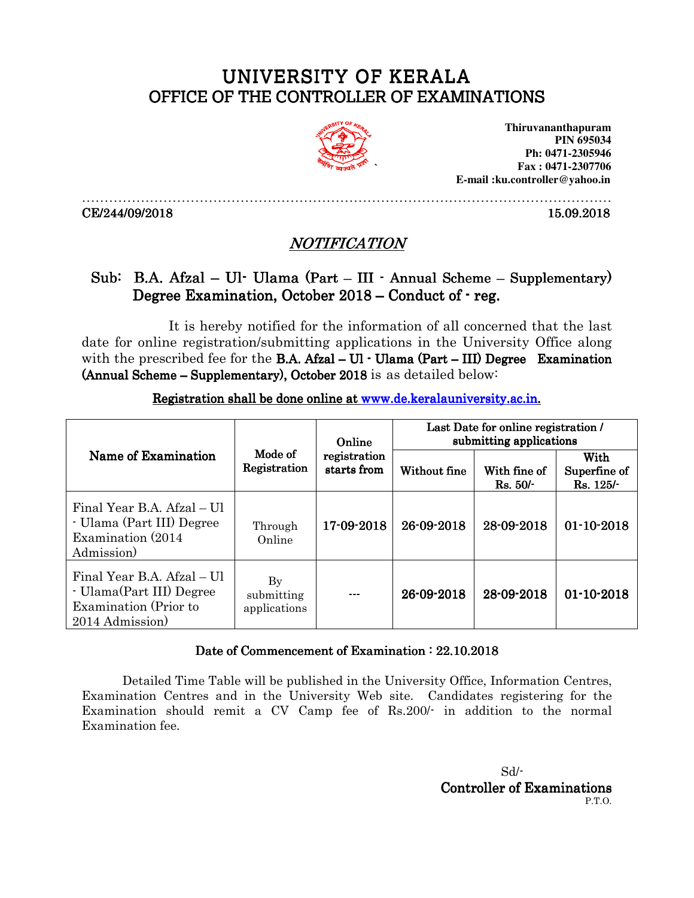## UNIVERSITY OF KERALA OFFICE OF THE CONTROLLER OF EXAMINATIONS



**Thiruvananthapuram PIN 695034 Ph: 0471-2305946 Fax : 0471-2307706 E-mail :ku.controller@yahoo.in** 

CE/244/09/2018 15.09.2018

## NOTIFICATION

………………………………………………………………………………………………………

## Sub: B.A. Afzal – Ul- Ulama (Part – III - Annual Scheme – Supplementary) Degree Examination, October  $2018$  – Conduct of  $r$  reg.

It is hereby notified for the information of all concerned that the last date for online registration/submitting applications in the University Office along with the prescribed fee for the **B.A.** Afzal –  $UI \cdot Ulama$  (Part – III) Degree Examination (Annual Scheme – Supplementary), October 2018 is as detailed below:

| Name of Examination                                                                               | Mode of<br>Registration                     | Online<br>registration<br>starts from | Last Date for online registration /<br>submitting applications |                         |                                   |
|---------------------------------------------------------------------------------------------------|---------------------------------------------|---------------------------------------|----------------------------------------------------------------|-------------------------|-----------------------------------|
|                                                                                                   |                                             |                                       | Without fine                                                   | With fine of<br>Rs. 50/ | With<br>Superfine of<br>Rs. 125/- |
| Final Year B.A. Afzal – Ul<br>- Ulama (Part III) Degree<br>Examination (2014)<br>Admission)       | Through<br>Online                           | 17-09-2018                            | 26-09-2018                                                     | 28-09-2018              | $01 - 10 - 2018$                  |
| Final Year B.A. Afzal – Ul<br>- Ulama(Part III) Degree<br>Examination (Prior to<br>2014 Admission | $\mathbf{By}$<br>submitting<br>applications | ---                                   | 26-09-2018                                                     | 28-09-2018              | $01 - 10 - 2018$                  |

Registration shall be done online at www.de.keralauniversity.ac.in.

## Date of Commencement of Examination : 22.10.2018

Detailed Time Table will be published in the University Office, Information Centres, Examination Centres and in the University Web site. Candidates registering for the Examination should remit a CV Camp fee of Rs.200/- in addition to the normal Examination fee.

 Sd/- Controller of Examinations P.T.O.